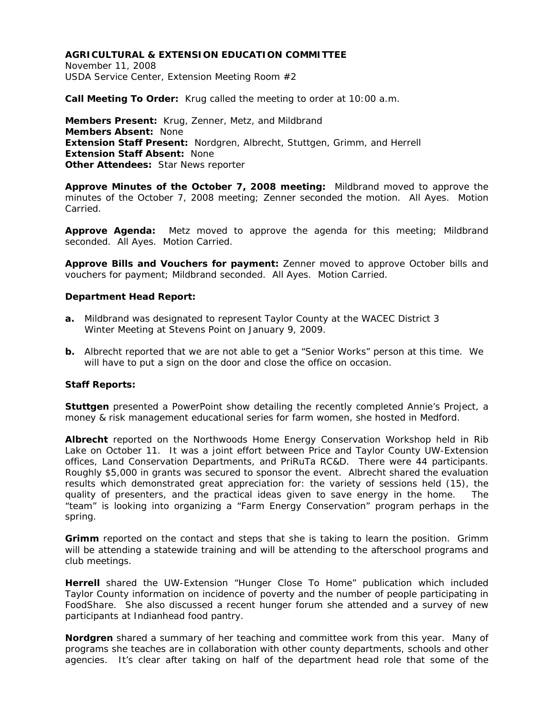November 11, 2008 USDA Service Center, Extension Meeting Room #2

**Call Meeting To Order:** Krug called the meeting to order at 10:00 a.m.

**Members Present:** Krug, Zenner, Metz, and Mildbrand **Members Absent:** None **Extension Staff Present:** Nordgren, Albrecht, Stuttgen, Grimm, and Herrell **Extension Staff Absent:** None **Other Attendees:** Star News reporter

**Approve Minutes of the October 7, 2008 meeting:** Mildbrand moved to approve the minutes of the October 7, 2008 meeting; Zenner seconded the motion. All Ayes. Motion Carried.

**Approve Agenda:** Metz moved to approve the agenda for this meeting; Mildbrand seconded. All Ayes. Motion Carried.

**Approve Bills and Vouchers for payment:** Zenner moved to approve October bills and vouchers for payment; Mildbrand seconded. All Ayes. Motion Carried.

#### **Department Head Report:**

- **a.** Mildbrand was designated to represent Taylor County at the WACEC District 3 Winter Meeting at Stevens Point on January 9, 2009.
- **b.** Albrecht reported that we are not able to get a "Senior Works" person at this time. We will have to put a sign on the door and close the office on occasion.

#### **Staff Reports:**

**Stuttgen** presented a PowerPoint show detailing the recently completed Annie's Project, a money & risk management educational series for farm women, she hosted in Medford.

**Albrecht** reported on the Northwoods Home Energy Conservation Workshop held in Rib Lake on October 11. It was a joint effort between Price and Taylor County UW-Extension offices, Land Conservation Departments, and PriRuTa RC&D. There were 44 participants. Roughly \$5,000 in grants was secured to sponsor the event. Albrecht shared the evaluation results which demonstrated great appreciation for: the variety of sessions held (15), the quality of presenters, and the practical ideas given to save energy in the home. The "team" is looking into organizing a "Farm Energy Conservation" program perhaps in the spring.

**Grimm** reported on the contact and steps that she is taking to learn the position. Grimm will be attending a statewide training and will be attending to the afterschool programs and club meetings.

**Herrell** shared the UW-Extension "Hunger Close To Home" publication which included Taylor County information on incidence of poverty and the number of people participating in FoodShare. She also discussed a recent hunger forum she attended and a survey of new participants at Indianhead food pantry.

**Nordgren** shared a summary of her teaching and committee work from this year. Many of programs she teaches are in collaboration with other county departments, schools and other agencies. It's clear after taking on half of the department head role that some of the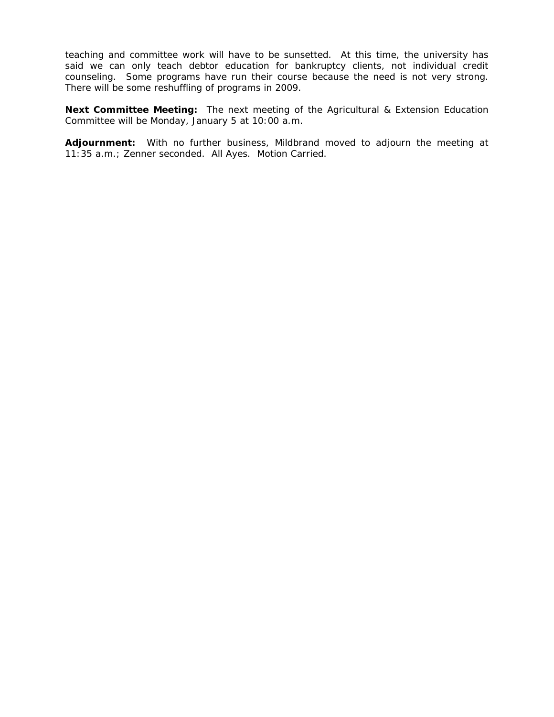teaching and committee work will have to be sunsetted. At this time, the university has said we can only teach debtor education for bankruptcy clients, not individual credit counseling. Some programs have run their course because the need is not very strong. There will be some reshuffling of programs in 2009.

**Next Committee Meeting:** The next meeting of the Agricultural & Extension Education Committee will be Monday, January 5 at 10:00 a.m.

**Adjournment:** With no further business, Mildbrand moved to adjourn the meeting at 11:35 a.m.; Zenner seconded. All Ayes. Motion Carried.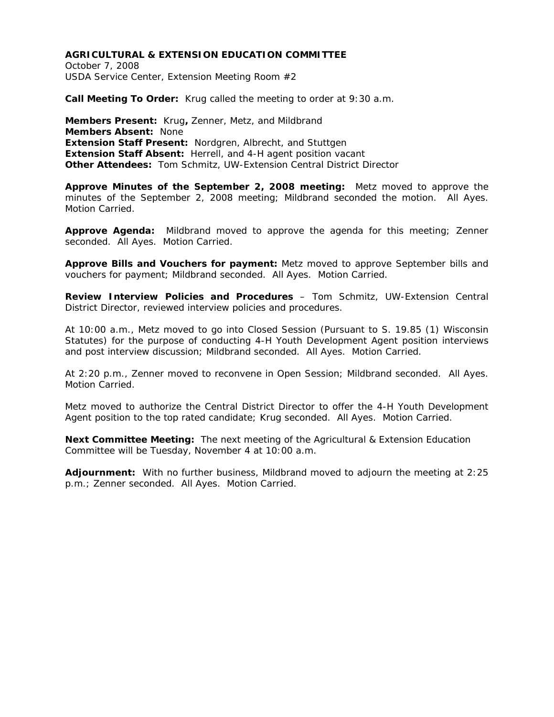October 7, 2008 USDA Service Center, Extension Meeting Room #2

**Call Meeting To Order:** Krug called the meeting to order at 9:30 a.m.

**Members Present:** Krug**,** Zenner, Metz, and Mildbrand **Members Absent:** None **Extension Staff Present:** Nordgren, Albrecht, and Stuttgen **Extension Staff Absent:** Herrell, and 4-H agent position vacant **Other Attendees:** Tom Schmitz, UW-Extension Central District Director

**Approve Minutes of the September 2, 2008 meeting:** Metz moved to approve the minutes of the September 2, 2008 meeting; Mildbrand seconded the motion. All Ayes. Motion Carried.

**Approve Agenda:** Mildbrand moved to approve the agenda for this meeting; Zenner seconded. All Ayes. Motion Carried.

**Approve Bills and Vouchers for payment:** Metz moved to approve September bills and vouchers for payment; Mildbrand seconded. All Ayes. Motion Carried.

**Review Interview Policies and Procedures** – Tom Schmitz, UW-Extension Central District Director, reviewed interview policies and procedures.

At 10:00 a.m., Metz moved to go into Closed Session (Pursuant to S. 19.85 (1) Wisconsin Statutes) for the purpose of conducting 4-H Youth Development Agent position interviews and post interview discussion; Mildbrand seconded. All Ayes. Motion Carried.

At 2:20 p.m., Zenner moved to reconvene in Open Session; Mildbrand seconded. All Ayes. Motion Carried.

Metz moved to authorize the Central District Director to offer the 4-H Youth Development Agent position to the top rated candidate; Krug seconded. All Ayes. Motion Carried.

**Next Committee Meeting:** The next meeting of the Agricultural & Extension Education Committee will be Tuesday, November 4 at 10:00 a.m.

**Adjournment:** With no further business, Mildbrand moved to adjourn the meeting at 2:25 p.m.; Zenner seconded. All Ayes. Motion Carried.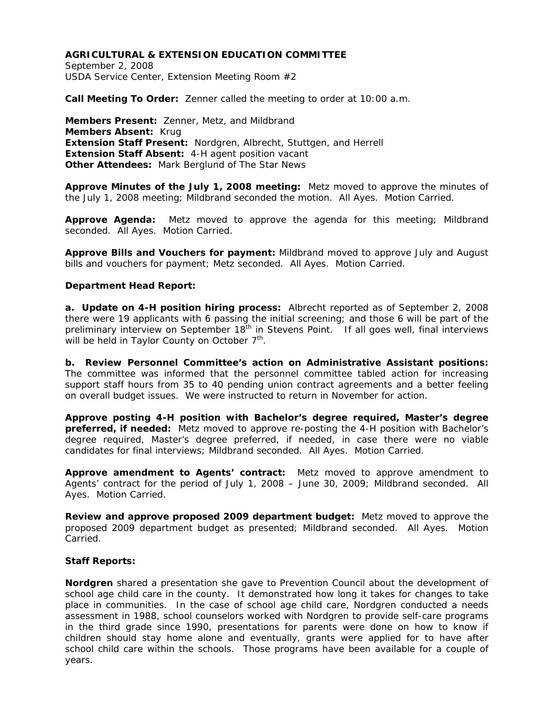September 2, 2008 USDA Service Center, Extension Meeting Room #2

**Call Meeting To Order:** Zenner called the meeting to order at 10:00 a.m.

**Members Present:** Zenner, Metz, and Mildbrand **Members Absent:** Krug **Extension Staff Present:** Nordgren, Albrecht, Stuttgen, and Herrell **Extension Staff Absent:** 4-H agent position vacant **Other Attendees:** Mark Berglund of The Star News

**Approve Minutes of the July 1, 2008 meeting:** Metz moved to approve the minutes of the July 1, 2008 meeting; Mildbrand seconded the motion. All Ayes. Motion Carried.

**Approve Agenda:** Metz moved to approve the agenda for this meeting; Mildbrand seconded. All Ayes. Motion Carried.

**Approve Bills and Vouchers for payment:** Mildbrand moved to approve July and August bills and vouchers for payment; Metz seconded. All Ayes. Motion Carried.

### **Department Head Report:**

**a. Update on 4-H position hiring process:** Albrecht reported as of September 2, 2008 there were 19 applicants with 6 passing the initial screening; and those 6 will be part of the preliminary interview on September 18<sup>th</sup> in Stevens Point. If all goes well, final interviews will be held in Taylor County on October  $7<sup>th</sup>$ .

**b. Review Personnel Committee's action on Administrative Assistant positions:**  The committee was informed that the personnel committee tabled action for increasing support staff hours from 35 to 40 pending union contract agreements and a better feeling on overall budget issues. We were instructed to return in November for action.

**Approve posting 4-H position with Bachelor's degree required, Master's degree preferred, if needed:** Metz moved to approve re-posting the 4-H position with Bachelor's degree required, Master's degree preferred, if needed, in case there were no viable candidates for final interviews; Mildbrand seconded. All Ayes. Motion Carried.

**Approve amendment to Agents' contract:** Metz moved to approve amendment to Agents' contract for the period of July 1, 2008 – June 30, 2009; Mildbrand seconded. All Ayes. Motion Carried.

**Review and approve proposed 2009 department budget:** Metz moved to approve the proposed 2009 department budget as presented; Mildbrand seconded. All Ayes. Motion Carried.

# **Staff Reports:**

**Nordgren** shared a presentation she gave to Prevention Council about the development of school age child care in the county. It demonstrated how long it takes for changes to take place in communities. In the case of school age child care, Nordgren conducted a needs assessment in 1988, school counselors worked with Nordgren to provide self-care programs in the third grade since 1990, presentations for parents were done on how to know if children should stay home alone and eventually, grants were applied for to have after school child care within the schools. Those programs have been available for a couple of years.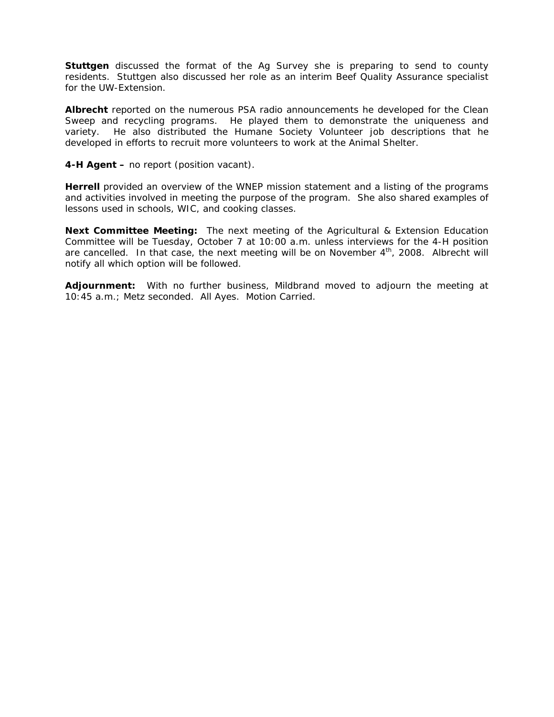**Stuttgen** discussed the format of the Ag Survey she is preparing to send to county residents. Stuttgen also discussed her role as an interim Beef Quality Assurance specialist for the UW-Extension.

**Albrecht** reported on the numerous PSA radio announcements he developed for the Clean Sweep and recycling programs. He played them to demonstrate the uniqueness and variety. He also distributed the Humane Society Volunteer job descriptions that he developed in efforts to recruit more volunteers to work at the Animal Shelter.

**4-H Agent –** no report (position vacant).

**Herrell** provided an overview of the WNEP mission statement and a listing of the programs and activities involved in meeting the purpose of the program. She also shared examples of lessons used in schools, WIC, and cooking classes.

**Next Committee Meeting:** The next meeting of the Agricultural & Extension Education Committee will be Tuesday, October 7 at 10:00 a.m. unless interviews for the 4-H position are cancelled. In that case, the next meeting will be on November  $4<sup>th</sup>$ , 2008. Albrecht will notify all which option will be followed.

**Adjournment:** With no further business, Mildbrand moved to adjourn the meeting at 10:45 a.m.; Metz seconded. All Ayes. Motion Carried.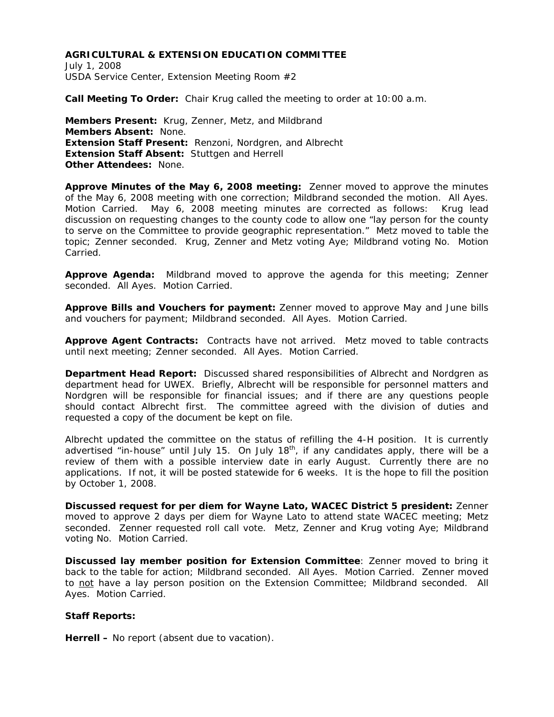July 1, 2008 USDA Service Center, Extension Meeting Room #2

**Call Meeting To Order:** Chair Krug called the meeting to order at 10:00 a.m.

**Members Present:** Krug, Zenner, Metz, and Mildbrand **Members Absent:** None. **Extension Staff Present:** Renzoni, Nordgren, and Albrecht **Extension Staff Absent:** Stuttgen and Herrell **Other Attendees:** None.

**Approve Minutes of the May 6, 2008 meeting:** Zenner moved to approve the minutes of the May 6, 2008 meeting with one correction; Mildbrand seconded the motion. All Ayes. Motion Carried. May 6, 2008 meeting minutes are corrected as follows: Krug lead discussion on requesting changes to the county code to allow one "lay person for the county to serve on the Committee to provide geographic representation." Metz moved to table the topic; Zenner seconded. Krug, Zenner and Metz voting Aye; Mildbrand voting No. Motion Carried.

**Approve Agenda:** Mildbrand moved to approve the agenda for this meeting; Zenner seconded. All Ayes. Motion Carried.

**Approve Bills and Vouchers for payment:** Zenner moved to approve May and June bills and vouchers for payment; Mildbrand seconded. All Ayes. Motion Carried.

**Approve Agent Contracts:** Contracts have not arrived. Metz moved to table contracts until next meeting; Zenner seconded. All Ayes. Motion Carried.

**Department Head Report:** Discussed shared responsibilities of Albrecht and Nordgren as department head for UWEX. Briefly, Albrecht will be responsible for personnel matters and Nordgren will be responsible for financial issues; and if there are any questions people should contact Albrecht first. The committee agreed with the division of duties and requested a copy of the document be kept on file.

Albrecht updated the committee on the status of refilling the 4-H position. It is currently advertised "in-house" until July 15. On July  $18<sup>th</sup>$ , if any candidates apply, there will be a review of them with a possible interview date in early August. Currently there are no applications. If not, it will be posted statewide for 6 weeks. It is the hope to fill the position by October 1, 2008.

**Discussed request for per diem for Wayne Lato, WACEC District 5 president:** Zenner moved to approve 2 days per diem for Wayne Lato to attend state WACEC meeting; Metz seconded. Zenner requested roll call vote. Metz, Zenner and Krug voting Aye; Mildbrand voting No. Motion Carried.

**Discussed lay member position for Extension Committee**: Zenner moved to bring it back to the table for action; Mildbrand seconded. All Ayes. Motion Carried. Zenner moved to not have a lay person position on the Extension Committee; Mildbrand seconded. All Ayes. Motion Carried.

#### **Staff Reports:**

**Herrell –** No report (absent due to vacation).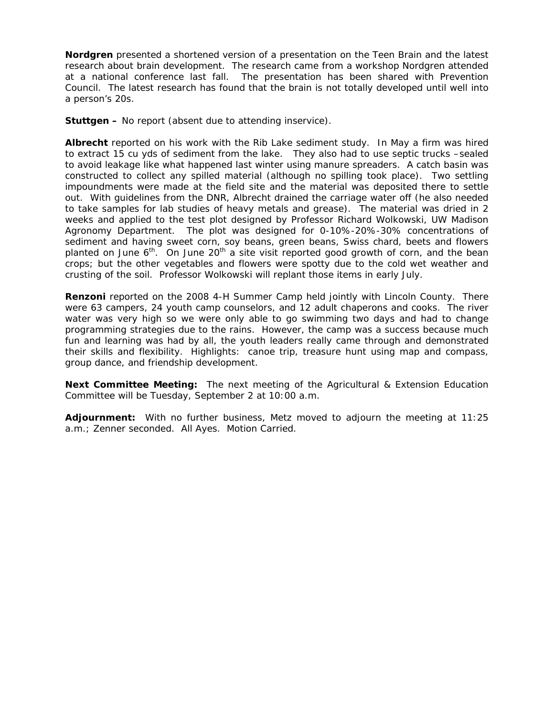**Nordgren** presented a shortened version of a presentation on the Teen Brain and the latest research about brain development. The research came from a workshop Nordgren attended at a national conference last fall. The presentation has been shared with Prevention Council. The latest research has found that the brain is not totally developed until well into a person's 20s.

**Stuttgen –** No report (absent due to attending inservice).

**Albrecht** reported on his work with the Rib Lake sediment study. In May a firm was hired to extract 15 cu yds of sediment from the lake. They also had to use septic trucks –sealed to avoid leakage like what happened last winter using manure spreaders. A catch basin was constructed to collect any spilled material (although no spilling took place). Two settling impoundments were made at the field site and the material was deposited there to settle out. With guidelines from the DNR, Albrecht drained the carriage water off (he also needed to take samples for lab studies of heavy metals and grease). The material was dried in 2 weeks and applied to the test plot designed by Professor Richard Wolkowski, UW Madison Agronomy Department. The plot was designed for 0-10%-20%-30% concentrations of sediment and having sweet corn, soy beans, green beans, Swiss chard, beets and flowers planted on June  $6<sup>th</sup>$ . On June 20<sup>th</sup> a site visit reported good growth of corn, and the bean crops; but the other vegetables and flowers were spotty due to the cold wet weather and crusting of the soil. Professor Wolkowski will replant those items in early July.

**Renzoni** reported on the 2008 4-H Summer Camp held jointly with Lincoln County. There were 63 campers, 24 youth camp counselors, and 12 adult chaperons and cooks. The river water was very high so we were only able to go swimming two days and had to change programming strategies due to the rains. However, the camp was a success because much fun and learning was had by all, the youth leaders really came through and demonstrated their skills and flexibility. Highlights: canoe trip, treasure hunt using map and compass, group dance, and friendship development.

**Next Committee Meeting:** The next meeting of the Agricultural & Extension Education Committee will be Tuesday, September 2 at 10:00 a.m.

**Adjournment:** With no further business, Metz moved to adjourn the meeting at 11:25 a.m.; Zenner seconded. All Ayes. Motion Carried.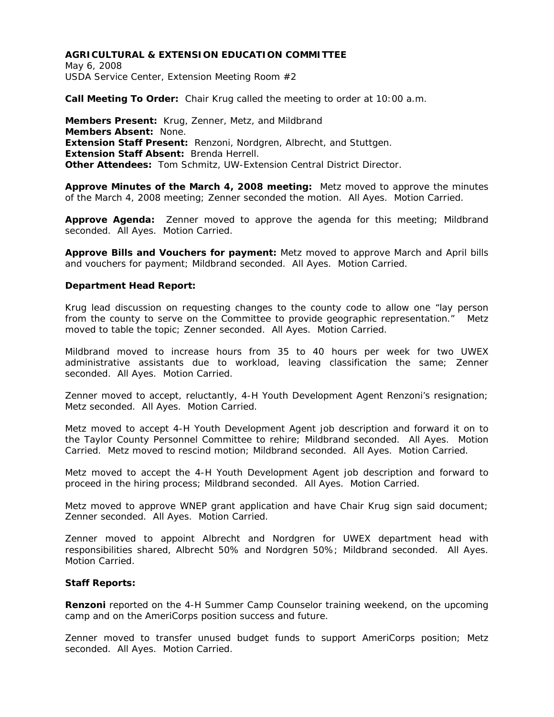May 6, 2008 USDA Service Center, Extension Meeting Room #2

**Call Meeting To Order:** Chair Krug called the meeting to order at 10:00 a.m.

**Members Present:** Krug, Zenner, Metz, and Mildbrand **Members Absent:** None. **Extension Staff Present:** Renzoni, Nordgren, Albrecht, and Stuttgen. **Extension Staff Absent:** Brenda Herrell. **Other Attendees:** Tom Schmitz, UW-Extension Central District Director.

**Approve Minutes of the March 4, 2008 meeting:** Metz moved to approve the minutes of the March 4, 2008 meeting; Zenner seconded the motion. All Ayes. Motion Carried.

**Approve Agenda:** Zenner moved to approve the agenda for this meeting; Mildbrand seconded. All Ayes. Motion Carried.

**Approve Bills and Vouchers for payment:** Metz moved to approve March and April bills and vouchers for payment; Mildbrand seconded. All Ayes. Motion Carried.

#### **Department Head Report:**

Krug lead discussion on requesting changes to the county code to allow one "lay person from the county to serve on the Committee to provide geographic representation."Metz moved to table the topic; Zenner seconded. All Ayes. Motion Carried.

Mildbrand moved to increase hours from 35 to 40 hours per week for two UWEX administrative assistants due to workload, leaving classification the same; Zenner seconded. All Ayes. Motion Carried.

Zenner moved to accept, reluctantly, 4-H Youth Development Agent Renzoni's resignation; Metz seconded. All Ayes. Motion Carried.

Metz moved to accept 4-H Youth Development Agent job description and forward it on to the Taylor County Personnel Committee to rehire; Mildbrand seconded. All Ayes. Motion Carried. Metz moved to rescind motion; Mildbrand seconded. All Ayes. Motion Carried.

Metz moved to accept the 4-H Youth Development Agent job description and forward to proceed in the hiring process; Mildbrand seconded. All Ayes. Motion Carried.

Metz moved to approve WNEP grant application and have Chair Krug sign said document; Zenner seconded. All Ayes. Motion Carried.

Zenner moved to appoint Albrecht and Nordgren for UWEX department head with responsibilities shared, Albrecht 50% and Nordgren 50%; Mildbrand seconded. All Ayes. Motion Carried.

#### **Staff Reports:**

**Renzoni** reported on the 4-H Summer Camp Counselor training weekend, on the upcoming camp and on the AmeriCorps position success and future.

Zenner moved to transfer unused budget funds to support AmeriCorps position; Metz seconded. All Ayes. Motion Carried.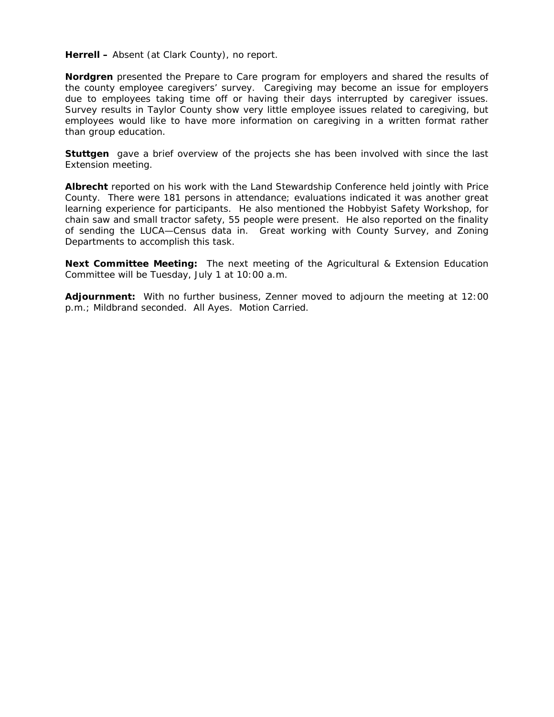**Herrell –** Absent (at Clark County), no report.

**Nordgren** presented the Prepare to Care program for employers and shared the results of the county employee caregivers' survey. Caregiving may become an issue for employers due to employees taking time off or having their days interrupted by caregiver issues. Survey results in Taylor County show very little employee issues related to caregiving, but employees would like to have more information on caregiving in a written format rather than group education.

**Stuttgen** gave a brief overview of the projects she has been involved with since the last Extension meeting.

**Albrecht** reported on his work with the Land Stewardship Conference held jointly with Price County. There were 181 persons in attendance; evaluations indicated it was another great learning experience for participants. He also mentioned the Hobbyist Safety Workshop, for chain saw and small tractor safety, 55 people were present. He also reported on the finality of sending the LUCA—Census data in. Great working with County Survey, and Zoning Departments to accomplish this task.

**Next Committee Meeting:** The next meeting of the Agricultural & Extension Education Committee will be Tuesday, July 1 at 10:00 a.m.

**Adjournment:** With no further business, Zenner moved to adjourn the meeting at 12:00 p.m.; Mildbrand seconded. All Ayes. Motion Carried.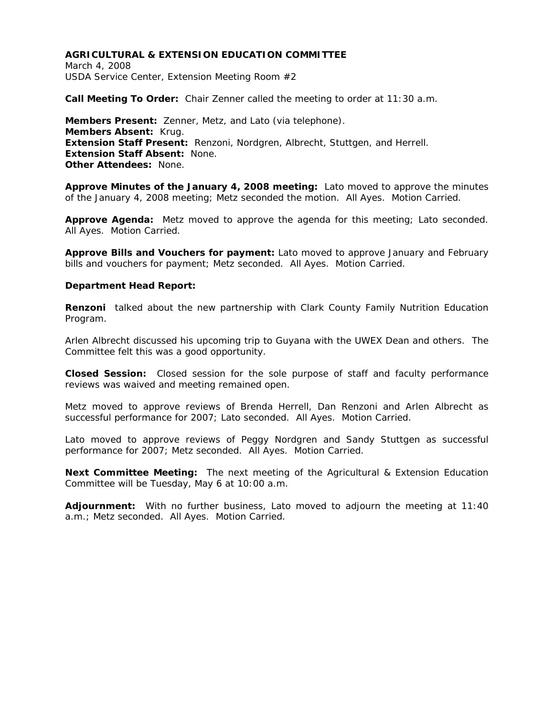March 4, 2008 USDA Service Center, Extension Meeting Room #2

**Call Meeting To Order:** Chair Zenner called the meeting to order at 11:30 a.m.

**Members Present:** Zenner, Metz, and Lato (via telephone). **Members Absent:** Krug. **Extension Staff Present:** Renzoni, Nordgren, Albrecht, Stuttgen, and Herrell. **Extension Staff Absent:** None. **Other Attendees:** None.

**Approve Minutes of the January 4, 2008 meeting:** Lato moved to approve the minutes of the January 4, 2008 meeting; Metz seconded the motion. All Ayes. Motion Carried.

**Approve Agenda:** Metz moved to approve the agenda for this meeting; Lato seconded. All Ayes. Motion Carried.

**Approve Bills and Vouchers for payment:** Lato moved to approve January and February bills and vouchers for payment; Metz seconded. All Ayes. Motion Carried.

#### **Department Head Report:**

**Renzoni** talked about the new partnership with Clark County Family Nutrition Education Program.

Arlen Albrecht discussed his upcoming trip to Guyana with the UWEX Dean and others. The Committee felt this was a good opportunity.

**Closed Session:** Closed session for the sole purpose of staff and faculty performance reviews was waived and meeting remained open.

Metz moved to approve reviews of Brenda Herrell, Dan Renzoni and Arlen Albrecht as successful performance for 2007; Lato seconded. All Ayes. Motion Carried.

Lato moved to approve reviews of Peggy Nordgren and Sandy Stuttgen as successful performance for 2007; Metz seconded. All Ayes. Motion Carried.

**Next Committee Meeting:** The next meeting of the Agricultural & Extension Education Committee will be Tuesday, May 6 at 10:00 a.m.

**Adjournment:** With no further business, Lato moved to adjourn the meeting at 11:40 a.m.; Metz seconded. All Ayes. Motion Carried.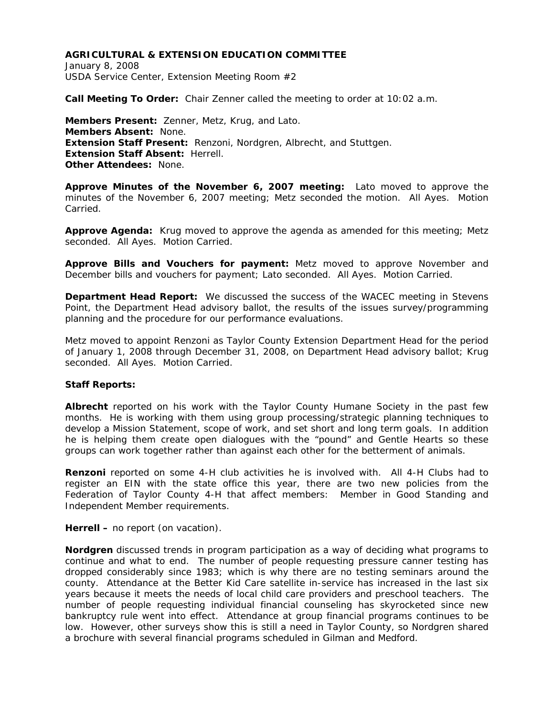January 8, 2008 USDA Service Center, Extension Meeting Room #2

**Call Meeting To Order:** Chair Zenner called the meeting to order at 10:02 a.m.

**Members Present:** Zenner, Metz, Krug, and Lato. **Members Absent:** None. **Extension Staff Present:** Renzoni, Nordgren, Albrecht, and Stuttgen. **Extension Staff Absent:** Herrell. **Other Attendees:** None.

**Approve Minutes of the November 6, 2007 meeting:** Lato moved to approve the minutes of the November 6, 2007 meeting; Metz seconded the motion. All Ayes. Motion Carried.

**Approve Agenda:** Krug moved to approve the agenda as amended for this meeting; Metz seconded. All Ayes. Motion Carried.

**Approve Bills and Vouchers for payment:** Metz moved to approve November and December bills and vouchers for payment; Lato seconded. All Ayes. Motion Carried.

**Department Head Report:** We discussed the success of the WACEC meeting in Stevens Point, the Department Head advisory ballot, the results of the issues survey/programming planning and the procedure for our performance evaluations.

Metz moved to appoint Renzoni as Taylor County Extension Department Head for the period of January 1, 2008 through December 31, 2008, on Department Head advisory ballot; Krug seconded. All Ayes. Motion Carried.

#### **Staff Reports:**

**Albrecht** reported on his work with the Taylor County Humane Society in the past few months. He is working with them using group processing/strategic planning techniques to develop a Mission Statement, scope of work, and set short and long term goals. In addition he is helping them create open dialogues with the "pound" and Gentle Hearts so these groups can work together rather than against each other for the betterment of animals.

**Renzoni** reported on some 4-H club activities he is involved with. All 4-H Clubs had to register an EIN with the state office this year, there are two new policies from the Federation of Taylor County 4-H that affect members: Member in Good Standing and Independent Member requirements.

**Herrell –** no report (on vacation).

**Nordgren** discussed trends in program participation as a way of deciding what programs to continue and what to end. The number of people requesting pressure canner testing has dropped considerably since 1983; which is why there are no testing seminars around the county. Attendance at the Better Kid Care satellite in-service has increased in the last six years because it meets the needs of local child care providers and preschool teachers. The number of people requesting individual financial counseling has skyrocketed since new bankruptcy rule went into effect. Attendance at group financial programs continues to be low. However, other surveys show this is still a need in Taylor County, so Nordgren shared a brochure with several financial programs scheduled in Gilman and Medford.